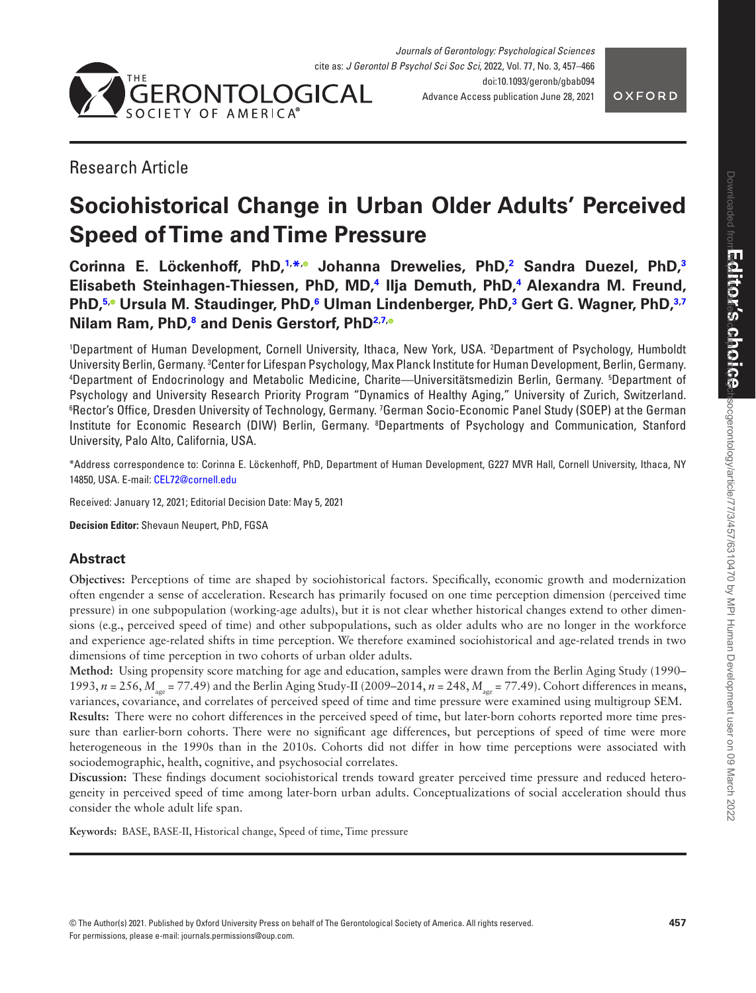



# Research Article

# **Sociohistorical Change in Urban Older Adults' Perceived Speed of Time and Time Pressure**

**Corinna E. Löckenhoff, PhD[,1](#page-0-0), [\\*](#page-0-1)[,](https://orcid.org/0000-0003-1605-1323) Johanna Drewelies, PhD[,2](#page-0-2) Sandra Duezel, PhD,[3](#page-0-3) Elisabeth Steinhagen-Thiessen, PhD, MD,[4](#page-0-4) Ilja Demuth, PhD,[4](#page-0-4) Alexandra M. Freund, PhD[,5](#page-0-5)[,](https://orcid.org/0000-0001-9953-523X) Ursula M. Staudinger, PhD,[6](#page-0-6) Ulman Lindenberger, PhD[,3](#page-0-3) Gert G. Wagner, PhD,[3,](#page-0-3)[7](#page-0-7) Nilam Ram, PhD,[8](#page-0-8) and Denis Gerstorf, Ph[D2](#page-0-2)[,7](#page-0-7)[,](https://orcid.org/0000-0002-2133-9498)**

<span id="page-0-5"></span><span id="page-0-4"></span><span id="page-0-3"></span><span id="page-0-2"></span><span id="page-0-0"></span>1 Department of Human Development, Cornell University, Ithaca, New York, USA. 2 Department of Psychology, Humboldt University Berlin, Germany. <sup>3</sup>Center for Lifespan Psychology, Max Planck Institute for Human Development, Berlin, Germany.<br><sup>4</sup>Denartment, of Endocrinology, and Metabolic, Medicine, Charite—Universitätsmedizin, Berlin, Ger Department of Endocrinology and Metabolic Medicine, Charite—Universitätsmedizin Berlin, Germany. 5 Department of Psychology and University Research Priority Program "Dynamics of Healthy Aging," University of Zurich, Switzerland. <sup>6</sup>Rector's Office, Dresden University of Technology, Germany. <sup>7</sup>German Socio-Economic Panel Study (SOEP) at the German Institute for Economic Research (DIW) Berlin, Germany. <sup>8</sup>Departments of Psychology and Communication, Stanford University, Palo Alto, California, USA.

<span id="page-0-8"></span><span id="page-0-7"></span><span id="page-0-6"></span><span id="page-0-1"></span>\*Address correspondence to: Corinna E. Löckenhoff, PhD, Department of Human Development, G227 MVR Hall, Cornell University, Ithaca, NY 14850, USA. E-mail: [CEL72@cornell.edu](mailto:CEL72@cornell.edu?subject=)

Received: January 12, 2021; Editorial Decision Date: May 5, 2021

**Decision Editor:** Shevaun Neupert, PhD, FGSA

# **Abstract**

**Objectives:** Perceptions of time are shaped by sociohistorical factors. Specifically, economic growth and modernization often engender a sense of acceleration. Research has primarily focused on one time perception dimension (perceived time pressure) in one subpopulation (working-age adults), but it is not clear whether historical changes extend to other dimensions (e.g., perceived speed of time) and other subpopulations, such as older adults who are no longer in the workforce and experience age-related shifts in time perception. We therefore examined sociohistorical and age-related trends in two dimensions of time perception in two cohorts of urban older adults.

**Method:** Using propensity score matching for age and education, samples were drawn from the Berlin Aging Study (1990– 1993, *n* = 256,  $M_{\text{age}}$  = 77.49) and the Berlin Aging Study-II (2009–2014, *n* = 248,  $M_{\text{age}}$  = 77.49). Cohort differences in means, variances, covariance, and correlates of perceived speed of time and time pressure were examined using multigroup SEM. **Results:** There were no cohort differences in the perceived speed of time, but later-born cohorts reported more time pressure than earlier-born cohorts. There were no significant age differences, but perceptions of speed of time were more heterogeneous in the 1990s than in the 2010s. Cohorts did not differ in how time perceptions were associated with sociodemographic, health, cognitive, and psychosocial correlates.

**Discussion:** These findings document sociohistorical trends toward greater perceived time pressure and reduced heterogeneity in perceived speed of time among later-born urban adults. Conceptualizations of social acceleration should thus consider the whole adult life span.

**Keywords:** BASE, BASE-II, Historical change, Speed of time, Time pressure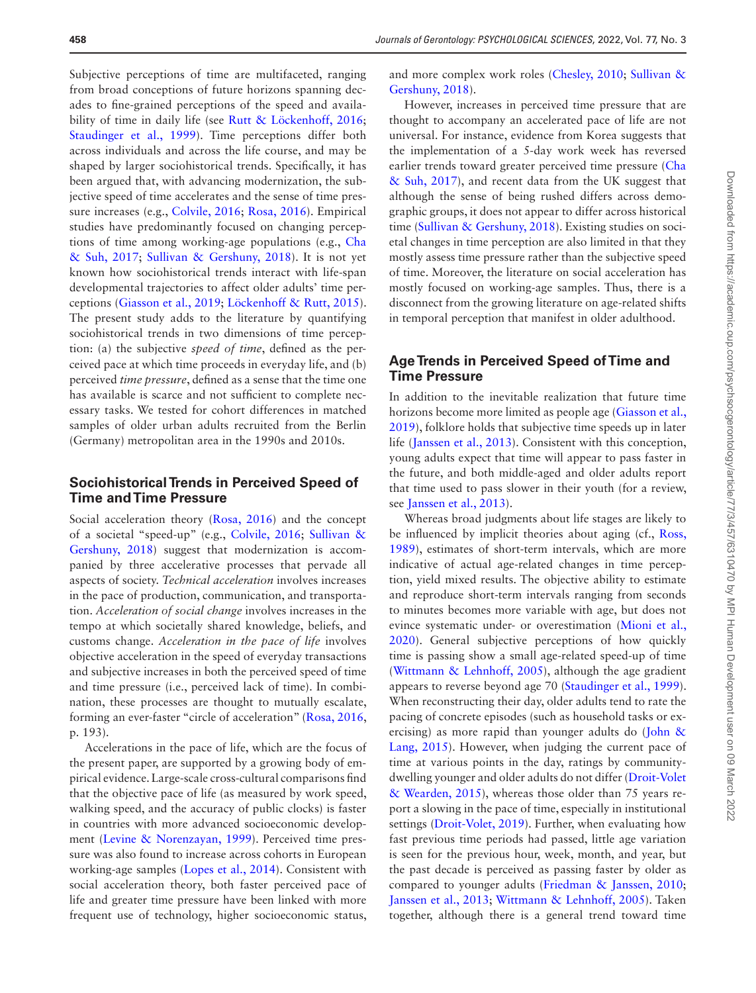Subjective perceptions of time are multifaceted, ranging from broad conceptions of future horizons spanning decades to fine-grained perceptions of the speed and availa-bility of time in daily life (see [Rutt & Löckenhoff, 2016](#page-9-0); Staudinger et al., 1999). Time perceptions differ both across individuals and across the life course, and may be shaped by larger sociohistorical trends. Specifically, it has been argued that, with advancing modernization, the subjective speed of time accelerates and the sense of time pressure increases (e.g., [Colvile, 2016;](#page-8-0) [Rosa, 2016](#page-9-2)). Empirical studies have predominantly focused on changing perceptions of time among working-age populations (e.g., [Cha](#page-8-1)  [& Suh, 2017](#page-8-1); [Sullivan & Gershuny, 2018\)](#page-9-3). It is not yet known how sociohistorical trends interact with life-span developmental trajectories to affect older adults' time perceptions ([Giasson et al., 2019;](#page-9-4) [Löckenhoff & Rutt, 2015](#page-9-5)). The present study adds to the literature by quantifying sociohistorical trends in two dimensions of time perception: (a) the subjective *speed of time*, defined as the perceived pace at which time proceeds in everyday life, and (b) perceived *time pressure*, defined as a sense that the time one has available is scarce and not sufficient to complete necessary tasks. We tested for cohort differences in matched samples of older urban adults recruited from the Berlin (Germany) metropolitan area in the 1990s and 2010s.

## **Sociohistorical Trends in Perceived Speed of Time and Time Pressure**

Social acceleration theory ([Rosa, 2016\)](#page-9-2) and the concept of a societal "speed-up" (e.g., [Colvile, 2016](#page-8-0); [Sullivan &](#page-9-3)  [Gershuny, 2018\)](#page-9-3) suggest that modernization is accompanied by three accelerative processes that pervade all aspects of society. *Technical acceleration* involves increases in the pace of production, communication, and transportation. *Acceleration of social change* involves increases in the tempo at which societally shared knowledge, beliefs, and customs change. *Acceleration in the pace of life* involves objective acceleration in the speed of everyday transactions and subjective increases in both the perceived speed of time and time pressure (i.e., perceived lack of time). In combination, these processes are thought to mutually escalate, forming an ever-faster "circle of acceleration" [\(Rosa, 2016](#page-9-2), p. 193).

Accelerations in the pace of life, which are the focus of the present paper, are supported by a growing body of empirical evidence. Large-scale cross-cultural comparisons find that the objective pace of life (as measured by work speed, walking speed, and the accuracy of public clocks) is faster in countries with more advanced socioeconomic development [\(Levine & Norenzayan, 1999](#page-9-6)). Perceived time pressure was also found to increase across cohorts in European working-age samples ([Lopes et al., 2014](#page-9-7)). Consistent with social acceleration theory, both faster perceived pace of life and greater time pressure have been linked with more frequent use of technology, higher socioeconomic status,

and more complex work roles [\(Chesley, 2010](#page-8-2); [Sullivan &](#page-9-3)  [Gershuny, 2018\)](#page-9-3).

However, increases in perceived time pressure that are thought to accompany an accelerated pace of life are not universal. For instance, evidence from Korea suggests that the implementation of a 5-day work week has reversed earlier trends toward greater perceived time pressure [\(Cha](#page-8-1)  [& Suh, 2017](#page-8-1)), and recent data from the UK suggest that although the sense of being rushed differs across demographic groups, it does not appear to differ across historical time ([Sullivan & Gershuny, 2018\)](#page-9-3). Existing studies on societal changes in time perception are also limited in that they mostly assess time pressure rather than the subjective speed of time. Moreover, the literature on social acceleration has mostly focused on working-age samples. Thus, there is a disconnect from the growing literature on age-related shifts in temporal perception that manifest in older adulthood.

## **Age Trends in Perceived Speed of Time and Time Pressure**

In addition to the inevitable realization that future time horizons become more limited as people age [\(Giasson et al.,](#page-9-4)  [2019](#page-9-4)), folklore holds that subjective time speeds up in later life ([Janssen et al., 2013](#page-9-8)). Consistent with this conception, young adults expect that time will appear to pass faster in the future, and both middle-aged and older adults report that time used to pass slower in their youth (for a review, see [Janssen et al., 2013](#page-9-8)).

Whereas broad judgments about life stages are likely to be influenced by implicit theories about aging (cf., [Ross,](#page-9-9)  [1989](#page-9-9)), estimates of short-term intervals, which are more indicative of actual age-related changes in time perception, yield mixed results. The objective ability to estimate and reproduce short-term intervals ranging from seconds to minutes becomes more variable with age, but does not evince systematic under- or overestimation ([Mioni et al.,](#page-9-10)  [2020](#page-9-10)). General subjective perceptions of how quickly time is passing show a small age-related speed-up of time ([Wittmann & Lehnhoff, 2005](#page-9-11)), although the age gradient appears to reverse beyond age 70 [\(Staudinger et al., 1999](#page-9-1)). When reconstructing their day, older adults tend to rate the pacing of concrete episodes (such as household tasks or exercising) as more rapid than younger adults do (John  $\&$ [Lang, 2015](#page-9-12)). However, when judging the current pace of time at various points in the day, ratings by communitydwelling younger and older adults do not differ [\(Droit-Volet](#page-8-3)  [& Wearden, 2015](#page-8-3)), whereas those older than 75 years report a slowing in the pace of time, especially in institutional settings [\(Droit-Volet, 2019](#page-8-4)). Further, when evaluating how fast previous time periods had passed, little age variation is seen for the previous hour, week, month, and year, but the past decade is perceived as passing faster by older as compared to younger adults [\(Friedman & Janssen, 2010](#page-8-5); [Janssen et al., 2013](#page-9-8); [Wittmann & Lehnhoff, 2005](#page-9-11)). Taken together, although there is a general trend toward time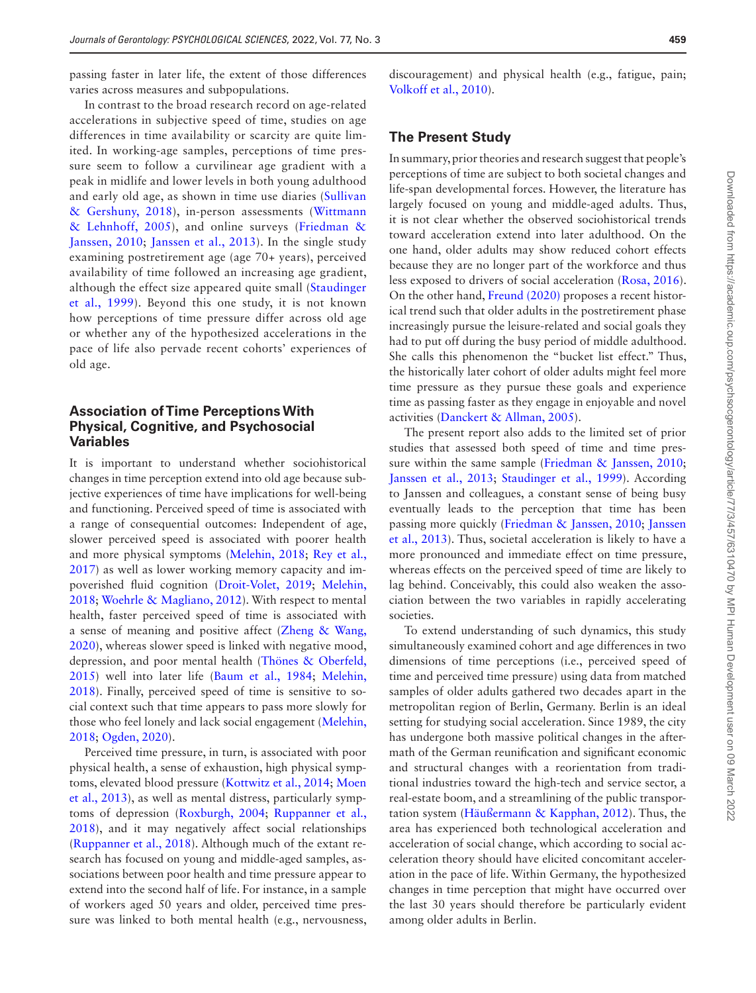passing faster in later life, the extent of those differences varies across measures and subpopulations.

In contrast to the broad research record on age-related accelerations in subjective speed of time, studies on age differences in time availability or scarcity are quite limited. In working-age samples, perceptions of time pressure seem to follow a curvilinear age gradient with a peak in midlife and lower levels in both young adulthood and early old age, as shown in time use diaries ([Sullivan](#page-9-3)  [& Gershuny, 2018\)](#page-9-3), in-person assessments ([Wittmann](#page-9-11)  [& Lehnhoff, 2005](#page-9-11)), and online surveys ([Friedman &](#page-8-5)  [Janssen, 2010;](#page-8-5) [Janssen et al., 2013\)](#page-9-8). In the single study examining postretirement age (age 70+ years), perceived availability of time followed an increasing age gradient, although the effect size appeared quite small [\(Staudinger](#page-9-1)  [et al., 1999\)](#page-9-1). Beyond this one study, it is not known how perceptions of time pressure differ across old age or whether any of the hypothesized accelerations in the pace of life also pervade recent cohorts' experiences of old age.

## **Association of Time Perceptions With Physical, Cognitive, and Psychosocial Variables**

It is important to understand whether sociohistorical changes in time perception extend into old age because subjective experiences of time have implications for well-being and functioning. Perceived speed of time is associated with a range of consequential outcomes: Independent of age, slower perceived speed is associated with poorer health and more physical symptoms ([Melehin, 2018](#page-9-13); [Rey et al.,](#page-9-14)  [2017](#page-9-14)) as well as lower working memory capacity and impoverished fluid cognition [\(Droit-Volet, 2019;](#page-8-4) [Melehin,](#page-9-13)  [2018](#page-9-13); [Woehrle & Magliano, 2012\)](#page-9-15). With respect to mental health, faster perceived speed of time is associated with a sense of meaning and positive affect [\(Zheng & Wang,](#page-9-16)  [2020](#page-9-16)), whereas slower speed is linked with negative mood, depression, and poor mental health ([Thönes & Oberfeld,](#page-9-17)  [2015](#page-9-17)) well into later life ([Baum et al., 1984](#page-8-6); [Melehin,](#page-9-13)  [2018](#page-9-13)). Finally, perceived speed of time is sensitive to social context such that time appears to pass more slowly for those who feel lonely and lack social engagement ([Melehin,](#page-9-13)  [2018](#page-9-13); [Ogden, 2020](#page-9-18)).

Perceived time pressure, in turn, is associated with poor physical health, a sense of exhaustion, high physical symptoms, elevated blood pressure ([Kottwitz et al., 2014;](#page-9-19) [Moen](#page-9-20)  [et al., 2013](#page-9-20)), as well as mental distress, particularly symptoms of depression ([Roxburgh, 2004;](#page-9-21) [Ruppanner et al.,](#page-9-22)  [2018](#page-9-22)), and it may negatively affect social relationships ([Ruppanner et al., 2018\)](#page-9-22). Although much of the extant research has focused on young and middle-aged samples, associations between poor health and time pressure appear to extend into the second half of life. For instance, in a sample of workers aged 50 years and older, perceived time pressure was linked to both mental health (e.g., nervousness,

discouragement) and physical health (e.g., fatigue, pain; [Volkoff et al., 2010](#page-9-23)).

## **The Present Study**

In summary, prior theories and research suggest that people's perceptions of time are subject to both societal changes and life-span developmental forces. However, the literature has largely focused on young and middle-aged adults. Thus, it is not clear whether the observed sociohistorical trends toward acceleration extend into later adulthood. On the one hand, older adults may show reduced cohort effects because they are no longer part of the workforce and thus less exposed to drivers of social acceleration ([Rosa, 2016](#page-9-2)). On the other hand, [Freund \(2020\)](#page-8-7) proposes a recent historical trend such that older adults in the postretirement phase increasingly pursue the leisure-related and social goals they had to put off during the busy period of middle adulthood. She calls this phenomenon the "bucket list effect." Thus, the historically later cohort of older adults might feel more time pressure as they pursue these goals and experience time as passing faster as they engage in enjoyable and novel activities [\(Danckert & Allman, 2005](#page-8-8)).

The present report also adds to the limited set of prior studies that assessed both speed of time and time pres-sure within the same sample ([Friedman & Janssen, 2010](#page-8-5); [Janssen et al., 2013;](#page-9-8) [Staudinger et al., 1999](#page-9-1)). According to Janssen and colleagues, a constant sense of being busy eventually leads to the perception that time has been passing more quickly [\(Friedman & Janssen, 2010](#page-8-5); [Janssen](#page-9-8)  [et al., 2013](#page-9-8)). Thus, societal acceleration is likely to have a more pronounced and immediate effect on time pressure, whereas effects on the perceived speed of time are likely to lag behind. Conceivably, this could also weaken the association between the two variables in rapidly accelerating societies.

To extend understanding of such dynamics, this study simultaneously examined cohort and age differences in two dimensions of time perceptions (i.e., perceived speed of time and perceived time pressure) using data from matched samples of older adults gathered two decades apart in the metropolitan region of Berlin, Germany. Berlin is an ideal setting for studying social acceleration. Since 1989, the city has undergone both massive political changes in the aftermath of the German reunification and significant economic and structural changes with a reorientation from traditional industries toward the high-tech and service sector, a real-estate boom, and a streamlining of the public transportation system ([Häußermann & Kapphan, 2012](#page-9-24)). Thus, the area has experienced both technological acceleration and acceleration of social change, which according to social acceleration theory should have elicited concomitant acceleration in the pace of life. Within Germany, the hypothesized changes in time perception that might have occurred over the last 30 years should therefore be particularly evident among older adults in Berlin.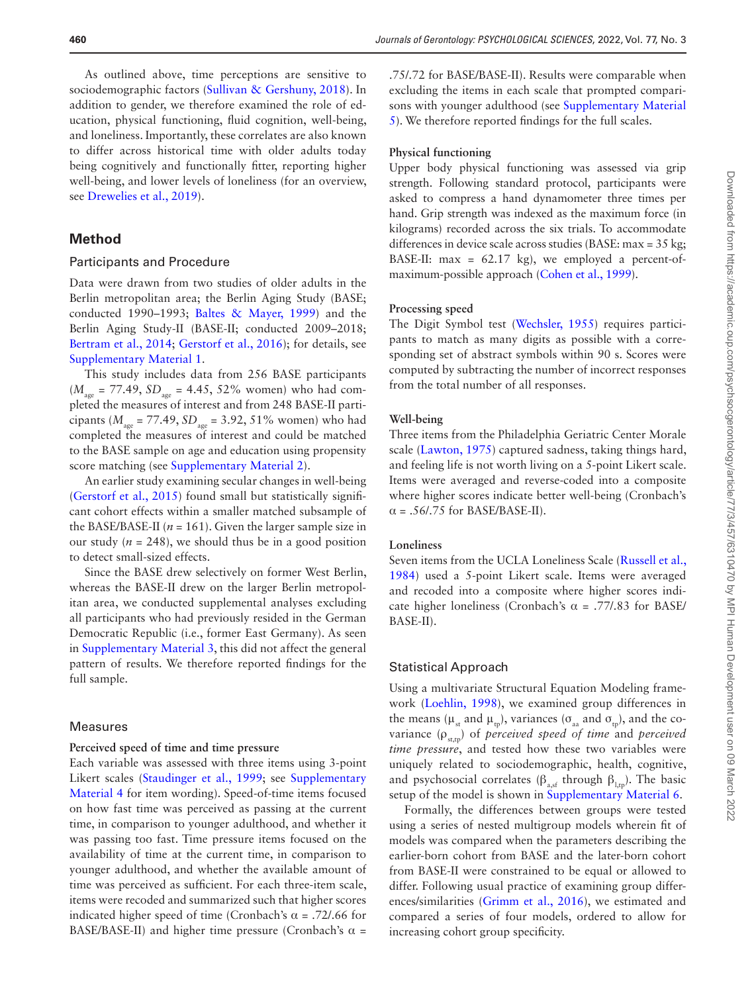As outlined above, time perceptions are sensitive to sociodemographic factors ([Sullivan & Gershuny, 2018](#page-9-3)). In addition to gender, we therefore examined the role of education, physical functioning, fluid cognition, well-being, and loneliness. Importantly, these correlates are also known to differ across historical time with older adults today being cognitively and functionally fitter, reporting higher well-being, and lower levels of loneliness (for an overview, see [Drewelies et al., 2019\)](#page-8-9).

## **Method**

## Participants and Procedure

Data were drawn from two studies of older adults in the Berlin metropolitan area; the Berlin Aging Study (BASE; conducted 1990–1993; [Baltes & Mayer, 1999\)](#page-8-10) and the Berlin Aging Study-II (BASE-II; conducted 2009–2018; [Bertram et al., 2014](#page-8-11); [Gerstorf et al., 2016\)](#page-8-12); for details, see [Supplementary Material 1.](http://academic.oup.com/psychsocgerontology/article-lookup/doi/10.1093/geronb/gbab094#supplementary-data)

This study includes data from 256 BASE participants  $(M_{\text{age}} = 77.49, SD_{\text{age}} = 4.45, 52\%$  women) who had completed the measures of interest and from 248 BASE-II participants ( $M_{\text{age}} = 77.49$ ,  $SD_{\text{age}} = 3.92$ , 51% women) who had completed the measures of interest and could be matched to the BASE sample on age and education using propensity score matching (see [Supplementary Material 2](http://academic.oup.com/psychsocgerontology/article-lookup/doi/10.1093/geronb/gbab094#supplementary-data)).

An earlier study examining secular changes in well-being ([Gerstorf et al., 2015](#page-8-13)) found small but statistically significant cohort effects within a smaller matched subsample of the BASE/BASE-II ( $n = 161$ ). Given the larger sample size in our study  $(n = 248)$ , we should thus be in a good position to detect small-sized effects.

Since the BASE drew selectively on former West Berlin, whereas the BASE-II drew on the larger Berlin metropolitan area, we conducted supplemental analyses excluding all participants who had previously resided in the German Democratic Republic (i.e., former East Germany). As seen in [Supplementary Material 3,](http://academic.oup.com/psychsocgerontology/article-lookup/doi/10.1093/geronb/gbab094#supplementary-data) this did not affect the general pattern of results. We therefore reported findings for the full sample.

#### Measures

#### **Perceived speed of time and time pressure**

Each variable was assessed with three items using 3-point Likert scales [\(Staudinger et al., 1999;](#page-9-1) see [Supplementary](http://academic.oup.com/psychsocgerontology/article-lookup/doi/10.1093/geronb/gbab094#supplementary-data)  [Material 4](http://academic.oup.com/psychsocgerontology/article-lookup/doi/10.1093/geronb/gbab094#supplementary-data) for item wording). Speed-of-time items focused on how fast time was perceived as passing at the current time, in comparison to younger adulthood, and whether it was passing too fast. Time pressure items focused on the availability of time at the current time, in comparison to younger adulthood, and whether the available amount of time was perceived as sufficient. For each three-item scale, items were recoded and summarized such that higher scores indicated higher speed of time (Cronbach's  $\alpha$  = .72/.66 for BASE/BASE-II) and higher time pressure (Cronbach's α *=*

.75/.72 for BASE/BASE-II). Results were comparable when excluding the items in each scale that prompted comparisons with younger adulthood (see [Supplementary Material](http://academic.oup.com/psychsocgerontology/article-lookup/doi/10.1093/geronb/gbab094#supplementary-data)  [5\)](http://academic.oup.com/psychsocgerontology/article-lookup/doi/10.1093/geronb/gbab094#supplementary-data). We therefore reported findings for the full scales.

## **Physical functioning**

Upper body physical functioning was assessed via grip strength. Following standard protocol, participants were asked to compress a hand dynamometer three times per hand. Grip strength was indexed as the maximum force (in kilograms) recorded across the six trials. To accommodate differences in device scale across studies (BASE: max = 35 kg; BASE-II:  $max = 62.17$  kg), we employed a percent-ofmaximum-possible approach [\(Cohen et al., 1999](#page-8-14)).

#### **Processing speed**

The Digit Symbol test [\(Wechsler, 1955](#page-9-25)) requires participants to match as many digits as possible with a corresponding set of abstract symbols within 90 s. Scores were computed by subtracting the number of incorrect responses from the total number of all responses.

#### **Well-being**

Three items from the Philadelphia Geriatric Center Morale scale [\(Lawton, 1975\)](#page-9-26) captured sadness, taking things hard, and feeling life is not worth living on a 5-point Likert scale. Items were averaged and reverse-coded into a composite where higher scores indicate better well-being (Cronbach's  $\alpha = .56/0.75$  for BASE/BASE-II).

#### **Loneliness**

Seven items from the UCLA Loneliness Scale ([Russell et al.,](#page-9-27)  [1984](#page-9-27)) used a 5-point Likert scale. Items were averaged and recoded into a composite where higher scores indicate higher loneliness (Cronbach's  $\alpha$  = .77/.83 for BASE/ BASE-II).

#### Statistical Approach

Using a multivariate Structural Equation Modeling framework ([Loehlin, 1998\)](#page-9-28), we examined group differences in the means ( $\mu_{st}$  and  $\mu_{tn}$ ), variances ( $\sigma_{aa}$  and  $\sigma_{tn}$ ), and the covariance (ρst,tp) of *perceived speed of time* and *perceived time pressure*, and tested how these two variables were uniquely related to sociodemographic, health, cognitive, and psychosocial correlates ( $\beta_{a,sf}$  through  $\beta_{l,tp}$ ). The basic setup of the model is shown in [Supplementary Material 6](http://academic.oup.com/psychsocgerontology/article-lookup/doi/10.1093/geronb/gbab094#supplementary-data).

Formally, the differences between groups were tested using a series of nested multigroup models wherein fit of models was compared when the parameters describing the earlier-born cohort from BASE and the later-born cohort from BASE-II were constrained to be equal or allowed to differ. Following usual practice of examining group differences/similarities [\(Grimm et al., 2016\)](#page-9-29), we estimated and compared a series of four models, ordered to allow for increasing cohort group specificity.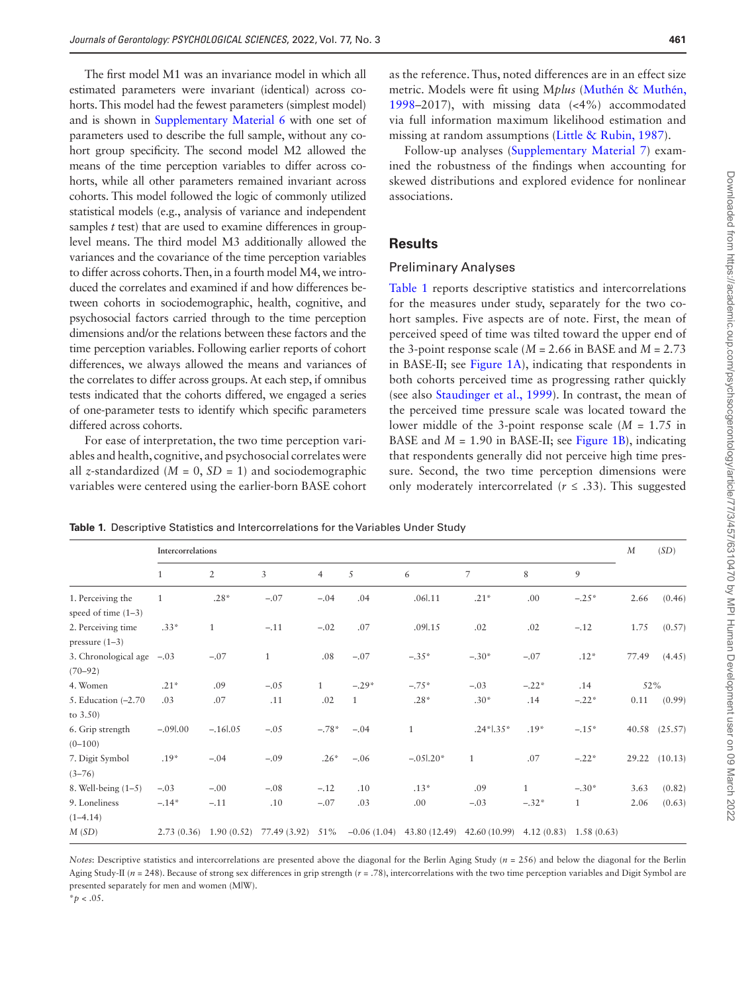The first model M1 was an invariance model in which all estimated parameters were invariant (identical) across cohorts. This model had the fewest parameters (simplest model) and is shown in [Supplementary Material 6](http://academic.oup.com/psychsocgerontology/article-lookup/doi/10.1093/geronb/gbab094#supplementary-data) with one set of parameters used to describe the full sample, without any cohort group specificity. The second model M2 allowed the means of the time perception variables to differ across cohorts, while all other parameters remained invariant across cohorts. This model followed the logic of commonly utilized statistical models (e.g., analysis of variance and independent samples *t* test) that are used to examine differences in grouplevel means. The third model M3 additionally allowed the variances and the covariance of the time perception variables to differ across cohorts. Then, in a fourth model M4, we introduced the correlates and examined if and how differences between cohorts in sociodemographic, health, cognitive, and psychosocial factors carried through to the time perception dimensions and/or the relations between these factors and the time perception variables. Following earlier reports of cohort differences, we always allowed the means and variances of the correlates to differ across groups. At each step, if omnibus tests indicated that the cohorts differed, we engaged a series of one-parameter tests to identify which specific parameters differed across cohorts.

For ease of interpretation, the two time perception variables and health, cognitive, and psychosocial correlates were all *z*-standardized ( $M = 0$ ,  $SD = 1$ ) and sociodemographic variables were centered using the earlier-born BASE cohort

Downloaded from https://academic.oup.com/psychsocgerontology/article/77/3/457/6310470 by MPI Human Development user on 09 March 2022 Downloaded from https://academic.oup.com/psychsocgerontology/article/77/3/457/6310470 by MPI Human Development user on 09 March 2022

as the reference. Thus, noted differences are in an effect size metric. Models were fit using M*plus* (Muthé[n & Muth](#page-9-30)én, [1998](#page-9-30)–2017), with missing data (<4%) accommodated via full information maximum likelihood estimation and missing at random assumptions [\(Little & Rubin, 1987](#page-9-31)).

Follow-up analyses ([Supplementary Material 7](http://academic.oup.com/psychsocgerontology/article-lookup/doi/10.1093/geronb/gbab094#supplementary-data)) examined the robustness of the findings when accounting for skewed distributions and explored evidence for nonlinear associations.

## **Results**

#### Preliminary Analyses

[Table 1](#page-4-0) reports descriptive statistics and intercorrelations for the measures under study, separately for the two cohort samples. Five aspects are of note. First, the mean of perceived speed of time was tilted toward the upper end of the 3-point response scale  $(M = 2.66$  in BASE and  $M = 2.73$ in BASE-II; see [Figure 1A\)](#page-5-0), indicating that respondents in both cohorts perceived time as progressing rather quickly (see also [Staudinger et al., 1999](#page-9-1)). In contrast, the mean of the perceived time pressure scale was located toward the lower middle of the 3-point response scale (*M* = 1.75 in BASE and  $M = 1.90$  in BASE-II; see [Figure 1B\)](#page-5-0), indicating that respondents generally did not perceive high time pressure. Second, the two time perception dimensions were only moderately intercorrelated  $(r \leq .33)$ . This suggested

<span id="page-4-0"></span>**Table 1.** Descriptive Statistics and Intercorrelations for the Variables Under Study

|                                            | Intercorrelations |                |                  |                |         |                                                                   |                |         |         | $\boldsymbol{M}$ | (SD)          |
|--------------------------------------------|-------------------|----------------|------------------|----------------|---------|-------------------------------------------------------------------|----------------|---------|---------|------------------|---------------|
|                                            | $\mathbf{1}$      | $\overline{2}$ | $\overline{3}$   | $\overline{4}$ | 5       | 6                                                                 | $\overline{7}$ | 8       | 9       |                  |               |
| 1. Perceiving the<br>speed of time $(1-3)$ | $\mathbf{1}$      | $.28*$         | $-.07$           | $-.04$         | .04     | .06 .11                                                           | $.21*$         | .00     | $-.25*$ | 2.66             | (0.46)        |
| 2. Perceiving time<br>pressure $(1-3)$     | $.33*$            | $\mathbf{1}$   | $-.11$           | $-.02$         | .07     | .091.15                                                           | .02            | .02     | $-.12$  | 1.75             | (0.57)        |
| 3. Chronological age<br>$(70 - 92)$        | $-.03$            | $-.07$         | $\mathbf{1}$     | .08            | $-.07$  | $-.35*$                                                           | $-.30*$        | $-.07$  | $.12*$  | 77.49            | (4.45)        |
| 4. Women                                   | $.21*$            | .09            | $-.05$           | $\mathbf{1}$   | $-.29*$ | $-.75*$                                                           | $-.03$         | $-.22*$ | .14     | 52%              |               |
| 5. Education $(-2.70)$<br>to $3.50$ )      | .03               | .07            | .11              | .02            | -1      | $.28*$                                                            | $.30*$         | .14     | $-.22*$ | 0.11             | (0.99)        |
| 6. Grip strength<br>$(0 - 100)$            | $-.091.00$        | $-.161.05$     | $-.05$           | $-.78*$        | $-.04$  | 1                                                                 | $.24*1.35*$    | $.19*$  | $-.15*$ |                  | 40.58 (25.57) |
| 7. Digit Symbol<br>$(3 - 76)$              | $.19*$            | $-.04$         | $-.09$           | $.26*$         | $-.06$  | $-.051.20*$                                                       | $\mathbf{1}$   | .07     | $-.22*$ |                  | 29.22 (10.13) |
| 8. Well-being $(1-5)$                      | $-.03$            | $-.00$         | $-.08$           | $-.12$         | .10     | $.13*$                                                            | .09            | 1       | $-.30*$ | 3.63             | (0.82)        |
| 9. Loneliness<br>$(1-4.14)$                | $-.14*$           | $-.11$         | .10              | $-.07$         | .03     | .00                                                               | $-.03$         | $-.32*$ | 1       | 2.06             | (0.63)        |
| M(SD)                                      | 2.73(0.36)        | 1.90(0.52)     | 77.49 (3.92) 51% |                |         | $-0.06(1.04)$ 43.80 (12.49) 42.60 (10.99) 4.12 (0.83) 1.58 (0.63) |                |         |         |                  |               |

*Notes*: Descriptive statistics and intercorrelations are presented above the diagonal for the Berlin Aging Study (*n* = 256) and below the diagonal for the Berlin Aging Study-II ( $n = 248$ ). Because of strong sex differences in grip strength ( $r = .78$ ), intercorrelations with the two time perception variables and Digit Symbol are presented separately for men and women (M|W).

\**p* < .05.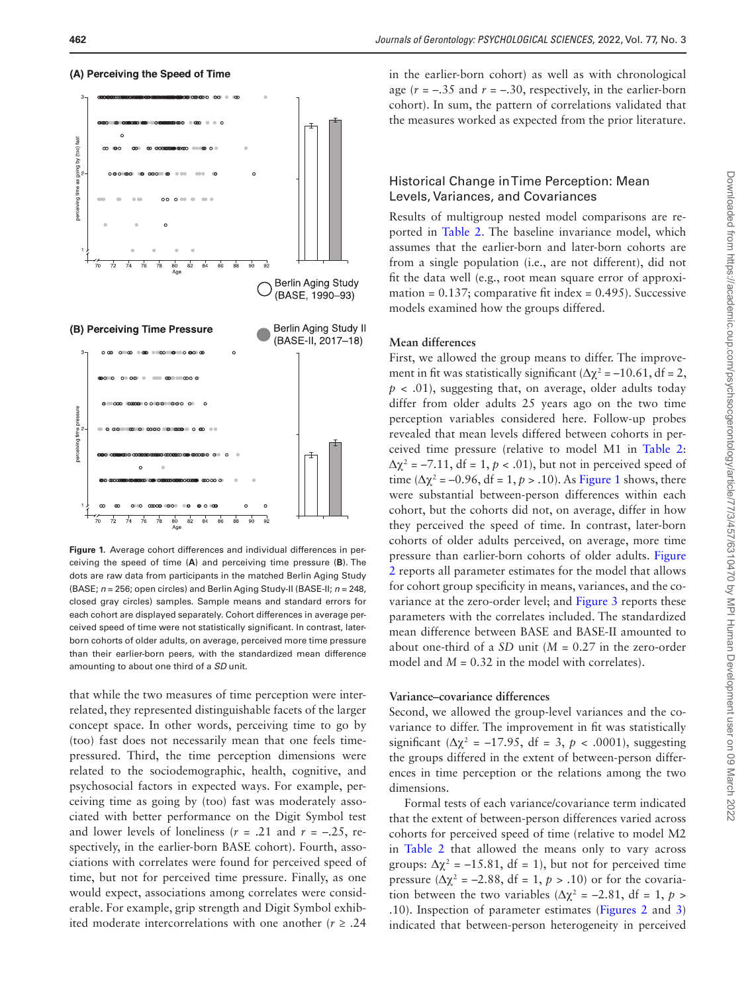



<span id="page-5-0"></span>**Figure 1.** Average cohort differences and individual differences in perceiving the speed of time (**A**) and perceiving time pressure (**B**). The dots are raw data from participants in the matched Berlin Aging Study (BASE; *n* = 256; open circles) and Berlin Aging Study-II (BASE-II; *n* = 248, closed gray circles) samples. Sample means and standard errors for each cohort are displayed separately. Cohort differences in average perceived speed of time were not statistically significant. In contrast, laterborn cohorts of older adults, on average, perceived more time pressure than their earlier-born peers, with the standardized mean difference amounting to about one third of a *SD* unit.

that while the two measures of time perception were interrelated, they represented distinguishable facets of the larger concept space. In other words, perceiving time to go by (too) fast does not necessarily mean that one feels timepressured. Third, the time perception dimensions were related to the sociodemographic, health, cognitive, and psychosocial factors in expected ways. For example, perceiving time as going by (too) fast was moderately associated with better performance on the Digit Symbol test and lower levels of loneliness  $(r = .21$  and  $r = -.25$ , respectively, in the earlier-born BASE cohort). Fourth, associations with correlates were found for perceived speed of time, but not for perceived time pressure. Finally, as one would expect, associations among correlates were considerable. For example, grip strength and Digit Symbol exhibited moderate intercorrelations with one another  $(r \geq .24)$ 

in the earlier-born cohort) as well as with chronological age  $(r = -.35$  and  $r = -.30$ , respectively, in the earlier-born cohort). In sum, the pattern of correlations validated that the measures worked as expected from the prior literature.

## Historical Change in Time Perception: Mean Levels, Variances, and Covariances

Results of multigroup nested model comparisons are reported in [Table 2](#page-6-0). The baseline invariance model, which assumes that the earlier-born and later-born cohorts are from a single population (i.e., are not different), did not fit the data well (e.g., root mean square error of approximation =  $0.137$ ; comparative fit index =  $0.495$ ). Successive models examined how the groups differed.

#### **Mean differences**

First, we allowed the group means to differ. The improvement in fit was statistically significant ( $\Delta \chi^2$  = -10.61, df = 2,  $p < .01$ ), suggesting that, on average, older adults today differ from older adults 25 years ago on the two time perception variables considered here. Follow-up probes revealed that mean levels differed between cohorts in perceived time pressure (relative to model M1 in [Table 2](#page-6-0):  $\Delta \chi^2$  = -7.11, df = 1, p < .01), but not in perceived speed of time ( $\Delta \chi^2$  = -0.96, df = 1, *p* > .10). As [Figure 1](#page-5-0) shows, there were substantial between-person differences within each cohort, but the cohorts did not, on average, differ in how they perceived the speed of time. In contrast, later-born cohorts of older adults perceived, on average, more time pressure than earlier-born cohorts of older adults. [Figure](#page-6-1)  [2](#page-6-1) reports all parameter estimates for the model that allows for cohort group specificity in means, variances, and the covariance at the zero-order level; and [Figure 3](#page-7-0) reports these parameters with the correlates included. The standardized mean difference between BASE and BASE-II amounted to about one-third of a *SD* unit (*M* = 0.27 in the zero-order model and  $M = 0.32$  in the model with correlates).

#### **Variance–covariance differences**

Second, we allowed the group-level variances and the covariance to differ. The improvement in fit was statistically significant  $(\Delta \chi^2 = -17.95$ , df = 3, p < .0001), suggesting the groups differed in the extent of between-person differences in time perception or the relations among the two dimensions.

Formal tests of each variance/covariance term indicated that the extent of between-person differences varied across cohorts for perceived speed of time (relative to model M2 in [Table 2](#page-6-0) that allowed the means only to vary across groups:  $\Delta \chi^2$  = -15.81, df = 1), but not for perceived time pressure  $(\Delta \chi^2 = -2.88$ , df = 1,  $p > .10$ ) or for the covariation between the two variables ( $\Delta \chi^2$  = -2.81, df = 1, p > .10). Inspection of parameter estimates ([Figures 2](#page-6-1) and [3\)](#page-7-0) indicated that between-person heterogeneity in perceived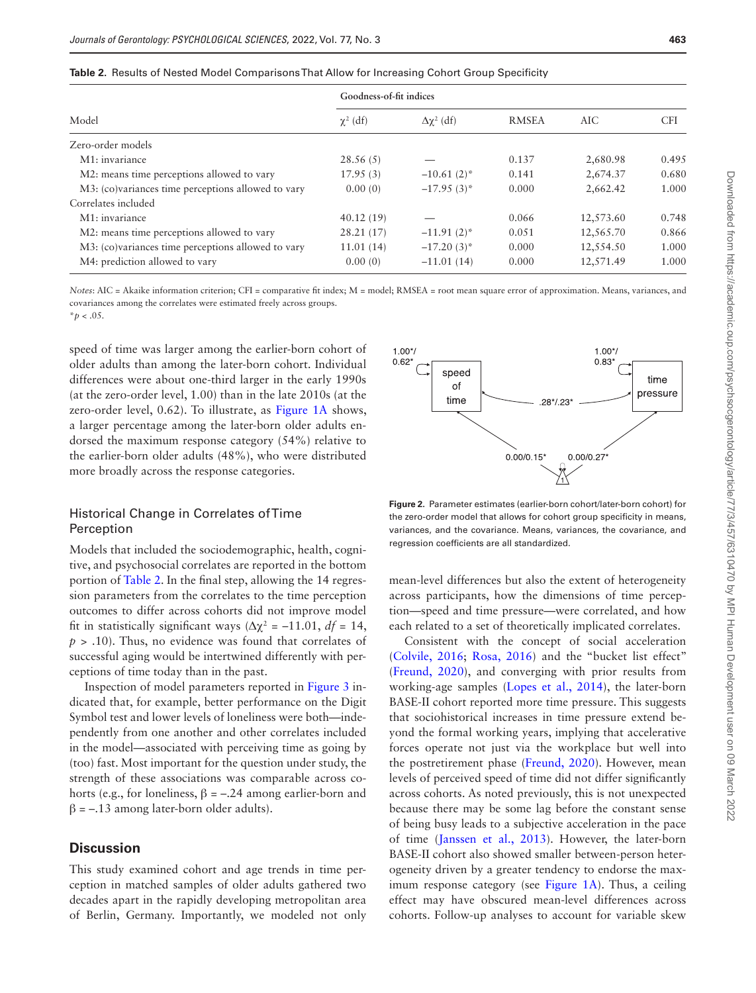|                                                    | Goodness-of-fit indices |                      |              |           |            |
|----------------------------------------------------|-------------------------|----------------------|--------------|-----------|------------|
| Model                                              | $\chi^2$ (df)           | $\Delta \chi^2$ (df) | <b>RMSEA</b> | AIC       | <b>CFI</b> |
| Zero-order models                                  |                         |                      |              |           |            |
| M <sub>1</sub> : invariance                        | 28.56(5)                |                      | 0.137        | 2,680.98  | 0.495      |
| M2: means time perceptions allowed to vary         | 17.95(3)                | $-10.61(2)$ *        | 0.141        | 2,674.37  | 0.680      |
| M3: (co)variances time perceptions allowed to vary | 0.00(0)                 | $-17.95(3)^{*}$      | 0.000        | 2,662.42  | 1.000      |
| Correlates included                                |                         |                      |              |           |            |
| M1: invariance                                     | 40.12(19)               |                      | 0.066        | 12,573.60 | 0.748      |
| M2: means time perceptions allowed to vary         | 28.21 (17)              | $-11.91(2)$ *        | 0.051        | 12,565.70 | 0.866      |
| M3: (co)variances time perceptions allowed to vary | 11.01(14)               | $-17.20(3)$ *        | 0.000        | 12,554.50 | 1.000      |
| M4: prediction allowed to vary                     | 0.00(0)                 | $-11.01(14)$         | 0.000        | 12,571.49 | 1.000      |

<span id="page-6-0"></span>**Table 2.** Results of Nested Model Comparisons That Allow for Increasing Cohort Group Specificity

*Notes*: AIC = Akaike information criterion; CFI = comparative fit index; M = model; RMSEA = root mean square error of approximation. Means, variances, and covariances among the correlates were estimated freely across groups.  $*_{p}$  < .05.

speed of time was larger among the earlier-born cohort of

older adults than among the later-born cohort. Individual differences were about one-third larger in the early 1990s (at the zero-order level, 1.00) than in the late 2010s (at the zero-order level, 0.62). To illustrate, as [Figure 1A](#page-5-0) shows, a larger percentage among the later-born older adults endorsed the maximum response category (54%) relative to the earlier-born older adults (48%), who were distributed more broadly across the response categories.

## Historical Change in Correlates of Time Perception

Models that included the sociodemographic, health, cognitive, and psychosocial correlates are reported in the bottom portion of [Table 2.](#page-6-0) In the final step, allowing the 14 regression parameters from the correlates to the time perception outcomes to differ across cohorts did not improve model fit in statistically significant ways  $(Δχ² = -11.01, df = 14,$ *p* > .10). Thus, no evidence was found that correlates of successful aging would be intertwined differently with perceptions of time today than in the past.

Inspection of model parameters reported in [Figure 3](#page-7-0) indicated that, for example, better performance on the Digit Symbol test and lower levels of loneliness were both—independently from one another and other correlates included in the model—associated with perceiving time as going by (too) fast. Most important for the question under study, the strength of these associations was comparable across cohorts (e.g., for loneliness,  $β = -.24$  among earlier-born and  $β = -.13$  among later-born older adults).

## **Discussion**

This study examined cohort and age trends in time perception in matched samples of older adults gathered two decades apart in the rapidly developing metropolitan area of Berlin, Germany. Importantly, we modeled not only



<span id="page-6-1"></span>**Figure 2.** Parameter estimates (earlier-born cohort/later-born cohort) for the zero-order model that allows for cohort group specificity in means, variances, and the covariance. Means, variances, the covariance, and regression coefficients are all standardized.

mean-level differences but also the extent of heterogeneity across participants, how the dimensions of time perception—speed and time pressure—were correlated, and how each related to a set of theoretically implicated correlates.

Consistent with the concept of social acceleration ([Colvile, 2016](#page-8-0); [Rosa, 2016](#page-9-2)) and the "bucket list effect" ([Freund, 2020](#page-8-7)), and converging with prior results from working-age samples [\(Lopes et al., 2014](#page-9-7)), the later-born BASE-II cohort reported more time pressure. This suggests that sociohistorical increases in time pressure extend beyond the formal working years, implying that accelerative forces operate not just via the workplace but well into the postretirement phase ([Freund, 2020\)](#page-8-7). However, mean levels of perceived speed of time did not differ significantly across cohorts. As noted previously, this is not unexpected because there may be some lag before the constant sense of being busy leads to a subjective acceleration in the pace of time ([Janssen et al., 2013](#page-9-8)). However, the later-born BASE-II cohort also showed smaller between-person heterogeneity driven by a greater tendency to endorse the maximum response category (see [Figure 1A\)](#page-5-0). Thus, a ceiling effect may have obscured mean-level differences across cohorts. Follow-up analyses to account for variable skew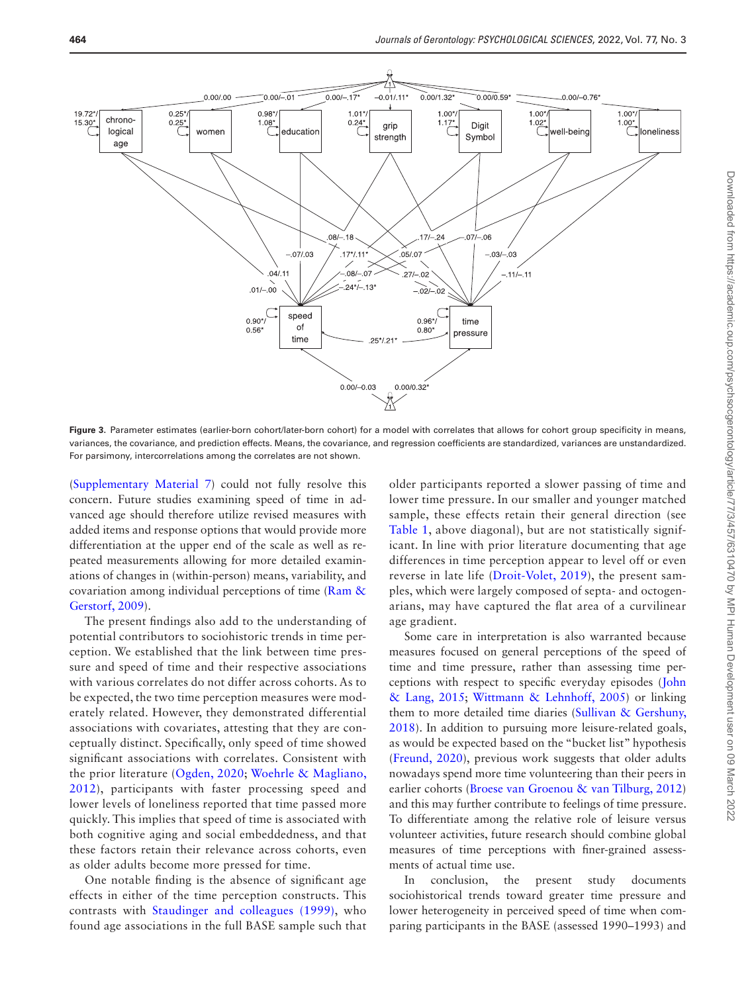

<span id="page-7-0"></span>Figure 3. Parameter estimates (earlier-born cohort/later-born cohort) for a model with correlates that allows for cohort group specificity in means, variances, the covariance, and prediction effects. Means, the covariance, and regression coefficients are standardized, variances are unstandardized. For parsimony, intercorrelations among the correlates are not shown.

([Supplementary Material 7](http://academic.oup.com/psychsocgerontology/article-lookup/doi/10.1093/geronb/gbab094#supplementary-data)) could not fully resolve this concern. Future studies examining speed of time in advanced age should therefore utilize revised measures with added items and response options that would provide more differentiation at the upper end of the scale as well as repeated measurements allowing for more detailed examinations of changes in (within-person) means, variability, and covariation among individual perceptions of time [\(Ram &](#page-9-32)  [Gerstorf, 2009](#page-9-32)).

The present findings also add to the understanding of potential contributors to sociohistoric trends in time perception. We established that the link between time pressure and speed of time and their respective associations with various correlates do not differ across cohorts. As to be expected, the two time perception measures were moderately related. However, they demonstrated differential associations with covariates, attesting that they are conceptually distinct. Specifically, only speed of time showed significant associations with correlates. Consistent with the prior literature [\(Ogden, 2020](#page-9-18); [Woehrle & Magliano,](#page-9-15)  [2012\)](#page-9-15), participants with faster processing speed and lower levels of loneliness reported that time passed more quickly. This implies that speed of time is associated with both cognitive aging and social embeddedness, and that these factors retain their relevance across cohorts, even as older adults become more pressed for time.

One notable finding is the absence of significant age effects in either of the time perception constructs. This contrasts with [Staudinger and colleagues \(1999\),](#page-9-1) who found age associations in the full BASE sample such that

older participants reported a slower passing of time and lower time pressure. In our smaller and younger matched sample, these effects retain their general direction (see [Table 1,](#page-4-0) above diagonal), but are not statistically significant. In line with prior literature documenting that age differences in time perception appear to level off or even reverse in late life [\(Droit-Volet, 2019\)](#page-8-4), the present samples, which were largely composed of septa- and octogenarians, may have captured the flat area of a curvilinear age gradient.

Some care in interpretation is also warranted because measures focused on general perceptions of the speed of time and time pressure, rather than assessing time perceptions with respect to specific everyday episodes ([John](#page-9-12)  [& Lang, 2015](#page-9-12); [Wittmann & Lehnhoff, 2005](#page-9-11)) or linking them to more detailed time diaries (Sullivan & Gershuny, [2018](#page-9-3)). In addition to pursuing more leisure-related goals, as would be expected based on the "bucket list" hypothesis ([Freund, 2020\)](#page-8-7), previous work suggests that older adults nowadays spend more time volunteering than their peers in earlier cohorts [\(Broese van Groenou & van Tilburg, 2012\)](#page-8-15) and this may further contribute to feelings of time pressure. To differentiate among the relative role of leisure versus volunteer activities, future research should combine global measures of time perceptions with finer-grained assessments of actual time use.

In conclusion, the present study documents sociohistorical trends toward greater time pressure and lower heterogeneity in perceived speed of time when comparing participants in the BASE (assessed 1990–1993) and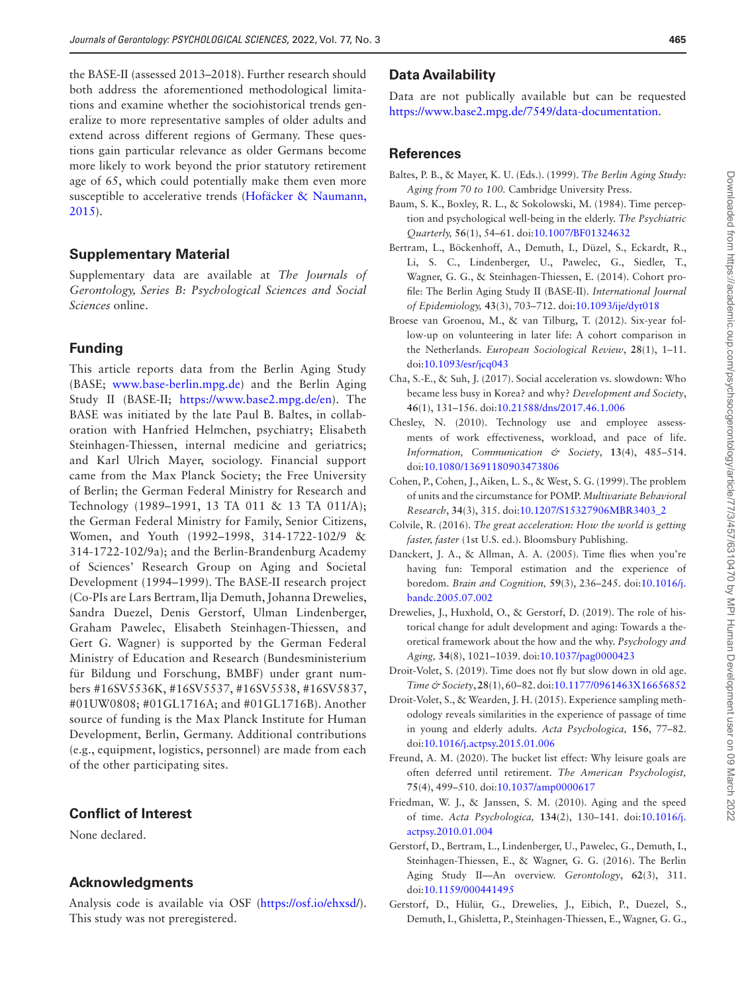the BASE-II (assessed 2013–2018). Further research should both address the aforementioned methodological limitations and examine whether the sociohistorical trends generalize to more representative samples of older adults and extend across different regions of Germany. These questions gain particular relevance as older Germans become more likely to work beyond the prior statutory retirement age of 65, which could potentially make them even more susceptible to accelerative trends [\(Hofäcker & Naumann,](#page-9-33)  [2015](#page-9-33)).

## **Supplementary Material**

Supplementary data are available at *The Journals of Gerontology, Series B: Psychological Sciences and Social Sciences* online.

## **Funding**

This article reports data from the Berlin Aging Study (BASE; [www.base-berlin.mpg.de](http://www.base-berlin.mpg.de)) and the Berlin Aging Study II (BASE-II; [https://www.base2.mpg.de/en](https://www.base2.mpg.de/en﻿)). The BASE was initiated by the late Paul B. Baltes, in collaboration with Hanfried Helmchen, psychiatry; Elisabeth Steinhagen-Thiessen, internal medicine and geriatrics; and Karl Ulrich Mayer, sociology. Financial support came from the Max Planck Society; the Free University of Berlin; the German Federal Ministry for Research and Technology (1989–1991, 13 TA 011 & 13 TA 011/A); the German Federal Ministry for Family, Senior Citizens, Women, and Youth (1992–1998, 314-1722-102/9 & 314-1722-102/9a); and the Berlin-Brandenburg Academy of Sciences' Research Group on Aging and Societal Development (1994–1999). The BASE-II research project (Co-PIs are Lars Bertram, Ilja Demuth, Johanna Drewelies, Sandra Duezel, Denis Gerstorf, Ulman Lindenberger, Graham Pawelec, Elisabeth Steinhagen-Thiessen, and Gert G. Wagner) is supported by the German Federal Ministry of Education and Research (Bundesministerium für Bildung und Forschung, BMBF) under grant numbers #16SV5536K, #16SV5537, #16SV5538, #16SV5837, #01UW0808; #01GL1716A; and #01GL1716B). Another source of funding is the Max Planck Institute for Human Development, Berlin, Germany. Additional contributions (e.g., equipment, logistics, personnel) are made from each of the other participating sites.

## **Conflict of Interest**

None declared.

#### **Acknowledgments**

Analysis code is available via OSF [\(https://osf.io/ehxsd/](https://osf.io/ehxsd)). This study was not preregistered.

## **Data Availability**

Data are not publically available but can be requested [https://www.base2.mpg.de/7549/data-documentation.](https://www.base2.mpg.de/7549/data-documentation﻿)

## **References**

- <span id="page-8-10"></span>Baltes, P. B., & Mayer, K. U. (Eds.). (1999). *The Berlin Aging Study: Aging from 70 to 100.* Cambridge University Press.
- <span id="page-8-6"></span>Baum, S. K., Boxley, R. L., & Sokolowski, M. (1984). Time perception and psychological well-being in the elderly. *The Psychiatric Quarterly,* **56**(1), 54–61. doi:[10.1007/BF01324632](https://doi.org/10.1007/BF01324632)
- <span id="page-8-11"></span>Bertram, L., Böckenhoff, A., Demuth, I., Düzel, S., Eckardt, R., Li, S. C., Lindenberger, U., Pawelec, G., Siedler, T., Wagner, G. G., & Steinhagen-Thiessen, E. (2014). Cohort profile: The Berlin Aging Study II (BASE-II). *International Journal of Epidemiology,* **43**(3), 703–712. doi[:10.1093/ije/dyt018](https://doi.org/10.1093/ije/dyt018)
- <span id="page-8-15"></span>Broese van Groenou, M., & van Tilburg, T. (2012). Six-year follow-up on volunteering in later life: A cohort comparison in the Netherlands. *European Sociological Review*, **28**(1), 1–11. doi:[10.1093/esr/jcq043](https://doi.org/10.1093/esr/jcq043)
- <span id="page-8-1"></span>Cha, S.-E., & Suh, J. (2017). Social acceleration vs. slowdown: Who became less busy in Korea? and why? *Development and Society*, **46**(1), 131–156. doi:[10.21588/dns/2017.46.1.006](https://doi.org/10.21588/dns/2017.46.1.006)
- <span id="page-8-2"></span>Chesley, N. (2010). Technology use and employee assessments of work effectiveness, workload, and pace of life. *Information, Communication & Society*, **13**(4), 485–514. doi:[10.1080/13691180903473806](https://doi.org/10.1080/13691180903473806)
- <span id="page-8-14"></span>Cohen, P., Cohen, J., Aiken, L. S., & West, S. G. (1999). The problem of units and the circumstance for POMP. *Multivariate Behavioral Research*, **34**(3), 315. doi[:10.1207/S15327906MBR3403\\_2](https://doi.org/10.1207/S15327906MBR3403_2)
- <span id="page-8-0"></span>Colvile, R. (2016). *The great acceleration: How the world is getting faster, faster* (1st U.S. ed.). Bloomsbury Publishing.
- <span id="page-8-8"></span>Danckert, J. A., & Allman, A. A. (2005). Time flies when you're having fun: Temporal estimation and the experience of boredom. *Brain and Cognition,* **59**(3), 236–245. doi[:10.1016/j.](https://doi.org/10.1016/j.bandc.2005.07.002) [bandc.2005.07.002](https://doi.org/10.1016/j.bandc.2005.07.002)
- <span id="page-8-9"></span>Drewelies, J., Huxhold, O., & Gerstorf, D. (2019). The role of historical change for adult development and aging: Towards a theoretical framework about the how and the why. *Psychology and Aging,* **34**(8), 1021–1039. doi[:10.1037/pag0000423](https://doi.org/10.1037/pag0000423)
- <span id="page-8-4"></span>Droit-Volet, S. (2019). Time does not fly but slow down in old age. *Time & Society*, **28**(1), 60–82. doi:[10.1177/0961463X16656852](https://doi.org/10.1177/0961463X16656852)
- <span id="page-8-3"></span>Droit-Volet, S., & Wearden, J. H. (2015). Experience sampling methodology reveals similarities in the experience of passage of time in young and elderly adults. *Acta Psychologica,* **156**, 77–82. doi:[10.1016/j.actpsy.2015.01.006](https://doi.org/10.1016/j.actpsy.2015.01.006)
- <span id="page-8-7"></span>Freund, A. M. (2020). The bucket list effect: Why leisure goals are often deferred until retirement. *The American Psychologist,* **75**(4), 499–510. doi:[10.1037/amp0000617](https://doi.org/10.1037/amp0000617)
- <span id="page-8-5"></span>Friedman, W. J., & Janssen, S. M. (2010). Aging and the speed of time. *Acta Psychologica,* **134**(2), 130–141. doi[:10.1016/j.](https://doi.org/10.1016/j.actpsy.2010.01.004) [actpsy.2010.01.004](https://doi.org/10.1016/j.actpsy.2010.01.004)
- <span id="page-8-12"></span>Gerstorf, D., Bertram, L., Lindenberger, U., Pawelec, G., Demuth, I., Steinhagen-Thiessen, E., & Wagner, G. G. (2016). The Berlin Aging Study II—An overview. *Gerontology*, **62**(3), 311. doi:[10.1159/000441495](https://doi.org/10.1159/000441495)
- <span id="page-8-13"></span>Gerstorf, D., Hülür, G., Drewelies, J., Eibich, P., Duezel, S., Demuth, I., Ghisletta, P., Steinhagen-Thiessen, E., Wagner, G. G.,